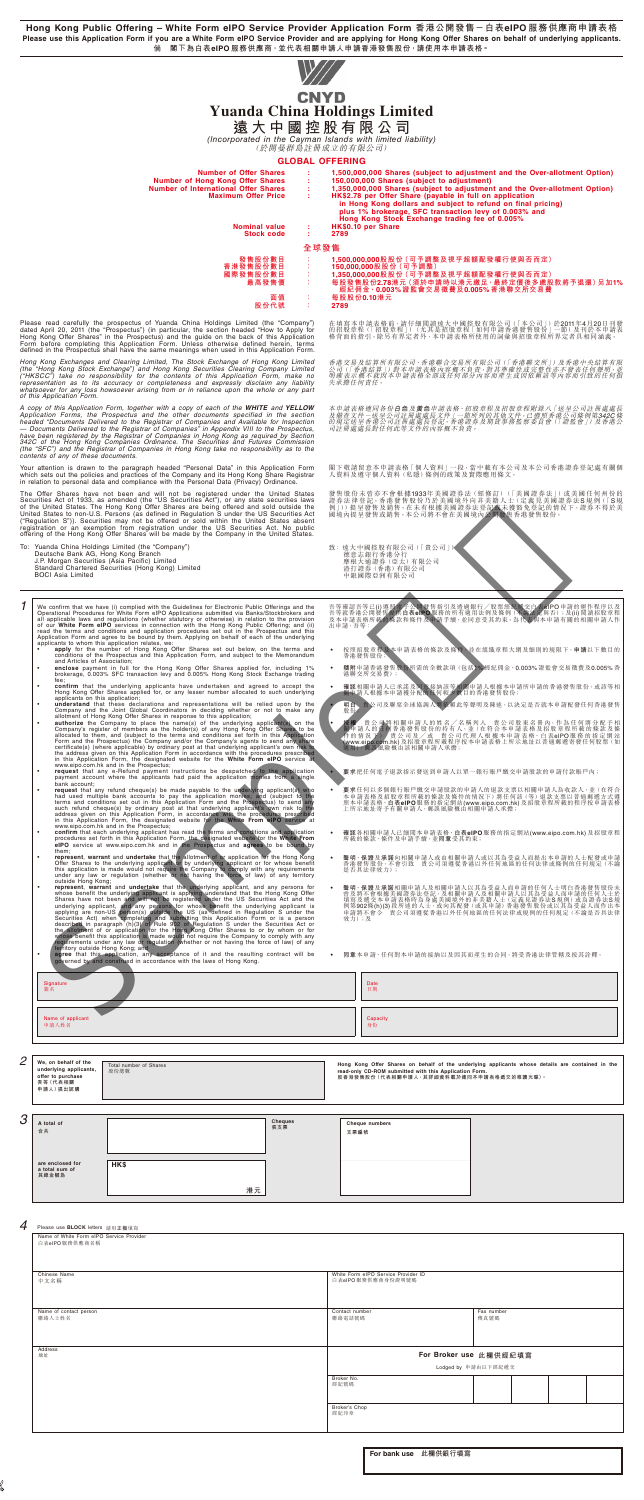**Hong Kong Public Offering – White Form eIPO Service Provider Application Form 香港公開發售-白表eIPO 服務供應商申請表格 Please use this Application Form if you are a White Form eIPO Service Provider and are applying for Hong Kong Offer Shares on behalf of underlying applicants. 倘 閣下為白表eIPO 服務供應商,並代表相關申請人申請香港發售股份,請使用本申請表格。**

|   |                                             | applicants on this application;                | allotment of Hong Kong Offer Shares in response to this application;                                    |  |    | understand that these declarations and representations will be relied upon by the<br>Company and the Joint Global Coordinators in deciding whether or not to make any<br><b>authorize</b> the Company to place the name(s) of the underlying applicant(s) on the                                                                                                                                                                                                                                                                                                                                                                                                                       |           | 明白、<br>股份; |                |                                                        |  |                                          | 貴公司及聯席全球協調人將依賴此等聲明及陳述,以決定是否就本申請配發任何香港發售                                                                                                                                                                                             |  |  |
|---|---------------------------------------------|------------------------------------------------|---------------------------------------------------------------------------------------------------------|--|----|----------------------------------------------------------------------------------------------------------------------------------------------------------------------------------------------------------------------------------------------------------------------------------------------------------------------------------------------------------------------------------------------------------------------------------------------------------------------------------------------------------------------------------------------------------------------------------------------------------------------------------------------------------------------------------------|-----------|------------|----------------|--------------------------------------------------------|--|------------------------------------------|-------------------------------------------------------------------------------------------------------------------------------------------------------------------------------------------------------------------------------------|--|--|
|   |                                             |                                                | www.eipo.com.hk and in the Prospectus;                                                                  |  |    | Company's register of members as the holder(s) of any Hong Kong Offer Shares to be<br>allocated to them, and (subject to the terms and conditions set forth in this Application<br>Form and the Prospectus) the Company and/or the Company's agents to send any share<br>certificate(s) (where applicable) by ordinary post at that underlying applicant's own risk to<br>the address given on this Application Form in accordance with the procedures prescribed<br>in this Application Form, the designated website for the White Form eIPO service at                                                                                                                               |           |            |                | 適用) 郵誤風險概由該相關申請人承擔;                                    |  |                                          | 有 貴公司將相關申請人的姓名/名稱列入 貴公司股東名冊內,作為任何將分配予相<br>申請人的任何香港發售股份的持有人,並(在符合本申請表格及招股章程所載的條款及條<br>作的情况下】 實公司及/或 責公司代理人根據本申請表格、白表elPO服務的指定網站<br>(www.eipo.com.hk)及招股章程所載程序按本申請表格上所示地址以普通郵遞寄發任何股票(如                                                |  |  |
|   |                                             | bank account:                                  |                                                                                                         |  |    | request that any e-Refund payment instructions be despatched to the application<br>payment account where the applicants had paid the application monies from a single                                                                                                                                                                                                                                                                                                                                                                                                                                                                                                                  |           |            |                |                                                        |  |                                          | 要求把任何電子退款指示發送到申請人以單一銀行賬戶繳交申請股款的申請付款賬戶內;                                                                                                                                                                                             |  |  |
|   |                                             |                                                | www.eipo.com.hk and in the Prospectus;                                                                  |  |    | request that any refund cheque(s) be made payable to the underlying applicant(s) who<br>had used multiple bank accounts to pay the application monies; and (subject to the<br>terms and conditions set out in this Application Form and the Prospectus) to send any<br>suith refund cheque(s) by ordinary post at that underlying applicants by the to the<br>address given on this Application Form, in accordance with the protecture<br>in this Application Form, the designated website for the White F                                                                                                                                                                            | $\bullet$ |            |                |                                                        |  | 上所示地址寄予有關申請人,郵誤風險概由相關申請人承擔;              | 要求任何以多個銀行賬戶繳交申請股款的申請人的退款支票以相關申請人為收款人,並(在符合<br>本申請表格及招股章程所載的條款及條件的情況下)將任何該 (等) 退款支票以普通郵遞方式遵<br>照本申請表格、白表elPO服務的指定網站(www.eipo.com.hk)及招股章程所載的程序按申請表格                                                                                  |  |  |
|   |                                             | them;                                          |                                                                                                         |  |    | confirm that each underlying applicant has read the terms and conditions and application<br>procedures set forth in this Application Form, the designated website for the White From<br>elPO service at www.eipo.com.hk and in the Prospectus and agrees to be bound by                                                                                                                                                                                                                                                                                                                                                                                                                |           |            |                | 所載的條款、條件及申請手續,並同意受其約束;                                 |  |                                          | 確認各相關申請人已細閲本申請表格、白表elPO服務的指定網站(www.eipo.com.hk)及招股章程                                                                                                                                                                                |  |  |
|   |                                             | outside Hong Kong;                             |                                                                                                         |  |    | represent, warrant and undertake that the allotment of or application for the Hong Kong<br>Offer Shares to the underlying applicant or by underlying applicant or for whose benefit<br>this application is made would not require the Company to comply with any requirements<br>under any law or regulation (whether or not having the force of law) of any territory                                                                                                                                                                                                                                                                                                                 |           |            | 是否具法律效力);      |                                                        |  |                                          | 聲明、保證及承諾向相關申請人或由相關申請人或以其為受益人而提出本申請的人士配發或申請<br>香港發售股份,不會引致 貴公司須遵從香港以外任何地區的任何法律或條例的任何規定 (不論                                                                                                                                           |  |  |
|   |                                             |                                                |                                                                                                         |  |    | represent, warrant and undertake that the underlying applicant, and any persons for<br>whose benefit the underlying applicant is applying understand that the Hong Kong Offer<br>Shares have not been and will not be registered under the US Securities Act and the<br>underlying applicant, and any persons for whose benefit the underlying applicant is applying are non-US person(s) outside the US (as defined in Regulation S under the<br>specifies Act) when completing and submitting this Application Form or is a person<br>described in paragraph (h)(3) of Rule 902 of Regulation S under the Securities Act or<br>described in paragraph (h)(3) of Rule 902 of Regulati |           | 效力);及      | 申請將不會令         |                                                        |  |                                          | 聲明、保證及承諾相關申請人及相關申請人以其為受益人而申請的任何人士明白香港發售股份未<br>曾及將不會根據美國證券法登記,及相關申請人及相關申請人以其為受益人而申請的任何人士於<br>填寫及遞交本申請表格時為身處美國境外的非美籍人士(定義見證券法S規例)或為證券法S規<br>例第902條(h)(3) 段所述的人士, 或向其配發(或其申請) 香港發售股份或以其為受益人而作出本<br>有公司須遵從香港以外任何地區的任何法律或規例的任何規定(不論是否具法律 |  |  |
|   |                                             |                                                | territory outside Hong Kong; and<br>governed by and construed in accordance with the laws of Hong Kong. |  |    | agree that this application, any acceptance of it and the resulting contract will be                                                                                                                                                                                                                                                                                                                                                                                                                                                                                                                                                                                                   |           |            |                |                                                        |  |                                          | 同意本申請、任何對本申請的接納以及因其而產生的合同,將受香港法律管轄及按其詮釋。                                                                                                                                                                                            |  |  |
|   | Signature<br>簽名                             |                                                |                                                                                                         |  |    |                                                                                                                                                                                                                                                                                                                                                                                                                                                                                                                                                                                                                                                                                        |           |            | Date<br>日期     |                                                        |  |                                          |                                                                                                                                                                                                                                     |  |  |
|   | 申請人姓名                                       | Name of applicant                              |                                                                                                         |  |    |                                                                                                                                                                                                                                                                                                                                                                                                                                                                                                                                                                                                                                                                                        |           |            | Capacity<br>身份 |                                                        |  |                                          |                                                                                                                                                                                                                                     |  |  |
|   |                                             |                                                |                                                                                                         |  |    |                                                                                                                                                                                                                                                                                                                                                                                                                                                                                                                                                                                                                                                                                        |           |            |                |                                                        |  |                                          |                                                                                                                                                                                                                                     |  |  |
| 2 | offer to purchase<br>吾等(代表相關<br>申請人)提出認購    | We, on behalf of the<br>underlying applicants, | Total number of Shares<br>股份總數                                                                          |  |    |                                                                                                                                                                                                                                                                                                                                                                                                                                                                                                                                                                                                                                                                                        |           |            |                | read-only CD-ROM submitted with this Application Form. |  | 股香港發售股份 (代表相關申請人,其詳細資料載於連同本申請表格遞交的唯讀光碟)。 | Hong Kong Offer Shares on behalf of the underlying applicants whose details are contained in the                                                                                                                                    |  |  |
| 3 | A total of                                  |                                                |                                                                                                         |  |    | <b>Cheques</b>                                                                                                                                                                                                                                                                                                                                                                                                                                                                                                                                                                                                                                                                         |           |            |                |                                                        |  |                                          |                                                                                                                                                                                                                                     |  |  |
|   | 合共                                          |                                                |                                                                                                         |  |    | 張支票                                                                                                                                                                                                                                                                                                                                                                                                                                                                                                                                                                                                                                                                                    |           | 支票編號       | Cheque numbers |                                                        |  |                                          |                                                                                                                                                                                                                                     |  |  |
|   | are enclosed for<br>a total sum of<br>其總金額為 |                                                | <b>HK\$</b>                                                                                             |  | 港元 |                                                                                                                                                                                                                                                                                                                                                                                                                                                                                                                                                                                                                                                                                        |           |            |                |                                                        |  |                                          |                                                                                                                                                                                                                                     |  |  |
|   |                                             |                                                |                                                                                                         |  |    |                                                                                                                                                                                                                                                                                                                                                                                                                                                                                                                                                                                                                                                                                        |           |            |                |                                                        |  |                                          |                                                                                                                                                                                                                                     |  |  |
| 4 |                                             | Please use <b>BLOCK</b> letters 請用正楷填寫         |                                                                                                         |  |    |                                                                                                                                                                                                                                                                                                                                                                                                                                                                                                                                                                                                                                                                                        |           |            |                |                                                        |  |                                          |                                                                                                                                                                                                                                     |  |  |

|  |  | Please use <b>BLOCK</b> letters 請用正楷填寫 |
|--|--|----------------------------------------|
|  |  |                                        |

To: Yuanda China Holdings Limited (the "Company")<br>Deutsche Bank AG, Hong Kong Branch<br>J.P. Morgan Securities (Asia Pacific) Limited<br>Standard Chartered Securities (Hong Kong) Limited BOCI Asia Limited

To example the base (i) complied with the Guidelines for Electronic Public Offerings and the Operational Procedures for White Form eIPO Applications submitted via Banks/Stockbookers and all applicable laws and regulations

- 
- 
- 
- 
- **Confirm** that the underlying applicants have undertaken and agreed to accept the applicants on this application;<br> **Company** and the Joint Global Coordinators and representations will be relied upon by the company and the
- 
- had used multiple bank accounts to pay the application montes; and (subject to the main set of the main such refining application Form and the Prospectus) to send any such refund cheque(s) by ordinary post at that underlyi
- 
- **Consert warrant and undertake that the allotment of a poplication for the Hong Köng<br>Cifer Shares to the underlying applicant or by underlying applicant or for whose benefit<br>this application is made would not require the**
- 

在填寫本申請表格前,請仔細関讀遠大中國控股有限公司(「本公司」)於2011年4月20日刊發<br>的招股章程(「招股章程」)(尤其是招股章程「如何申請香港發售股爭的」)於2011年4月<br>格背面的指引。除另有界定者外,本申請表格所使用的詞彙與招股章程所界定者具相同涵義。

**遠大中國控股有限公司**<br>(Incorporated in the Cayman Islands with limited liability) (於開曼群島註冊成立的有限公司)

- 致: 遠大中國控股有限公司(「貴公司」) 德意志銀行香港分行 摩根大通證券(亞太)有限公司 渣打證券(香港)有限公司 中銀國際亞洲有限公司
	-
- 吾等確認者等已(i) 遵照電子公開發售指引及透過銀行/股票經紀遮交白表eIPO 申請的建作程序以及<br>吾等職番港公開發售提供**白表eIPO** 服務的所有適用法例及條例 (不論法定與否);及(ii) 閲讀招股章程<br>及本申請表格所載的條款和條件及申請手續, 並同意受其約束。為代表與本申請有關的相關申請人作<br>出申請,吾等: ● 按照招股章程及本甲請表格的條款及條件,亚在組織章程大鋼及細則的規限下,**甲請**以下數目的<br>香港發售股份; ● **随附**甲請香港發售股份所需的全數款填(包括1% 經紀佣金、0.003% 證監會交易徵費及0.005% 杳<br>港聯交所交易費); ● **確認**相關甲請人已承諾及同意接納該等相關甲請人根據本申請所甲請的香港發售股份,或該等相<br>■ 關申請人根據本申請獲分配的任何較少數目的香港發售股份; ‧ **明白** 貴公司及聯席全球協調人將依賴此等聲明及陳述,以決定是否就本申請配發任何香港發售 股份; • 種分 貫公司將相關甲請人的姓名/名稱列入 貫公司股東名冊內,作為仕何兩分配了相<br>作的情況下, 貫公司及/或 貴公司代理人根據本申請表格及招股章程所載的條款及條<br>(1) 有為選手, 黄公司及/或 貴公司代理人根據本申請表格、白表elPO服務的指定網站<br>(WWW.elpotom.hk)及招股章程所載程序按本申請表格上所示地址以普通郵遞寄發任何股票(如 ‧ **要求**把任何電子退款指示發送到申請人以單一銀行賬戶繳交申請股款的申請付款賬戶內; ● 要求仕何以多個銀行賬戶職及前提款的申請人的起款支票以相關甲請人為收款人,並(在符合<br>本申請表格及招股章程所載的條款及條件的情況下)將任何該(等)退款支票以普通郵遞方式遵<br>照本申請表格、**白表eIPO** 服務的指定網站(www.eipo.com.hk)及招股章程所載的程序按申請表格 ‧ **確認**各相關申請人已細閱本申請表格、**白表elPO** 服務的指定網站(www.eipo.com.hk) 及招股章程 所載的條款、條件及申請手續,並**同意**受其約束; ● 聲明→保證及承諾同相關申請人或由相關申請人或以其為受益人而提出本申請的人士配發或甲請<br>香港法發售股份→不會引致 貴公司須遵從香港以外任何地區的任何法律或條例的任何規定(不論<br>是否具法律效力);
- 聲明、保證及承諾相關甲請人及相關甲請人以其為受益人而甲請的任何人士明日香港發悟服份未完善度及避交本申請表格時為身處美國發外的非美籍人士(定義見證券法S規例)或為證券法S規制(上的不同人士於法院分析<br>填寫及遞交本申請表格時為身處美國境外的非美籍人士(定義見證券法S規例)或為證券法S規<br>例第902條(NN)段所述的人士,或向其配發(或其申請)香港發售股份或以其為受益人而作出本律<br>申請將不會令 貫公司須遵從香港以外任何地區的任何法律或規例的

**For bank use 此欄供銀行填寫**

| . . where $\alpha = 1$ is the second respectively. The second respectively in the second second respectively. The second respectively of $\alpha$ |                                                          |                    |  |  |
|---------------------------------------------------------------------------------------------------------------------------------------------------|----------------------------------------------------------|--------------------|--|--|
| Name of White Form eIPO Service Provider<br>白表elPO服務供應商名稱                                                                                         |                                                          |                    |  |  |
| Chinese Name<br>中文名稱                                                                                                                              | White Form eIPO Service Provider ID<br>白表eIPO服務供應商身份證明號碼 |                    |  |  |
| Name of contact person<br>聯絡人士姓名                                                                                                                  | Contact number<br>聯絡電話號碼                                 | Fax number<br>傳真號碼 |  |  |
| Address<br>地址                                                                                                                                     | For Broker use 此欄供經紀填寫                                   |                    |  |  |
|                                                                                                                                                   | Lodged by 申請由以下經紀遞交                                      |                    |  |  |
|                                                                                                                                                   | Broker No.<br>經紀號碼                                       |                    |  |  |
|                                                                                                                                                   | Broker's Chop<br>經紀印章                                    |                    |  |  |



**GLOBAL OFFERING** 

| <b>Number of Offer Shares</b>           |      | 1,500,000,000 Shares (subject to adjustment and the Over-allotment Option)                                                                                                                                                          |
|-----------------------------------------|------|-------------------------------------------------------------------------------------------------------------------------------------------------------------------------------------------------------------------------------------|
| <b>Number of Hong Kong Offer Shares</b> |      | 150,000,000 Shares (subject to adjustment)                                                                                                                                                                                          |
| Number of International Offer Shares    |      | 1,350,000,000 Shares (subject to adjustment and the Over-allotment Option)                                                                                                                                                          |
| <b>Maximum Offer Price</b>              |      | HK\$2.78 per Offer Share (payable in full on application<br>in Hong Kong dollars and subject to refund on final pricing)<br>plus 1% brokerage, SFC transaction levy of 0.003% and<br>Hong Kong Stock Exchange trading fee of 0.005% |
| <b>Nominal value</b>                    |      | HK\$0.10 per Share                                                                                                                                                                                                                  |
| <b>Stock code</b>                       |      | 2789                                                                                                                                                                                                                                |
|                                         | 全球發售 |                                                                                                                                                                                                                                     |
| 發售股份數目                                  |      | 1,500,000,000股股份(可予調整及視乎超額配發權行使與否而定)                                                                                                                                                                                                |
| 香港發售股份數目                                |      | 150,000,000股股份 (可予調整)                                                                                                                                                                                                               |
| 國際發售股份數目                                |      | 1,350,000,000股股份 (可予調整及視乎超額配發權行使與否而定)                                                                                                                                                                                               |
| 最高發售價                                   |      | 每股發售股份2.78港元(須於申請時以港元繳足,最終定價後多繳股款將予退還)另加1%。                                                                                                                                                                                         |
|                                         |      | 經紀佣金、0.003%。證監會交易徵費及0.005%。香港聯交所交易費                                                                                                                                                                                                 |
| 面值                                      |      | 每股股份0.10港元                                                                                                                                                                                                                          |
| 股份代號                                    |      | 2789                                                                                                                                                                                                                                |
|                                         |      |                                                                                                                                                                                                                                     |

Please read carefully the prospectus of Yuanda China Holdings Limited (the "Company") dated April 20, 2011 (the "Prospectus") (in particular, the section headed "How to Apply for<br>Hong Kong Offer Shares" in the Prospectus)

Hong Kong Exchanges and Clearing Limited, the Stock Exchange of Hong Kong Limited<br>(the "Hong Kong Stock Exchange") and Hong Kong Securities Clearing Company Limited<br>("HKSCC") take no responsibility for the contents of this

A copy of this Application Form, together with a copy of each of the WHITE and YELLOW<br>Application Forms, the Prospectus and the other documents specified in the section<br>headed "Documents Delivered to the Registrar of Compa contents of any of these documents.

Your attention is drawn to the paragraph headed "Personal Data" in this Application Form<br>which sets out the policies and practices of the Company and its Hong Kong Share Registrar<br>in relation to personal data and complianc

The Offer Shares have not been and will not be registered under the United States<br>Securities Act of 1933, as amended (the "US Securities Act"), or any state securities laws<br>of the United States. The Hong Kong Offer Shares

香港交易及結算所有限公司、香港聯合交易所有限公司(「香港聯交所」)及香港中央結算有限 公司(「香港結算」)對本申請表格內容概不負責,對其準確性或完整性亦不發表任何聲明,並 明確表示概不就因本申請表格全部或任何部分內容而產生或因依賴該等內容而引致的任何損 失承擔任何責任。

本申請表格連同各份**白色**及**黃色**申請表格、招股章程及招股章程附錄八「送呈公司註冊處處長<br>及備查文件一送呈公司註冊處處長文件」一節所列的其他文件,已遵照香港公司條例第**342C**條<br>的規定送呈香港公司註冊處處長登記。香港證券及期貨事務監察委員會(「證監會」)及香港公<br>司註冊處處長對任何此等文件的內容概不負責。

閣下敬請留意本申請表格「個人資料」一段,當中載有本公司及本公司香港證券登記處有關個 人資料及遵守個人資料(私隱)條例的政策及實際應用條文。

發售股份未曾亦不曾根據1933年美國證券法(經修訂)、(「美國證券法」)或美國任何州份的<br>證券法律登記。香港發售股份乃於美國境外向非美籍人士(定義見美國證券法S 規例(「S 規<br>例」))提呈發售及銷售。本公司將不會在美國境內公開發售香港發售股份。<br>國境內提呈發售或銷售。本公司將不會在美國境內公開發售香港發售股份。